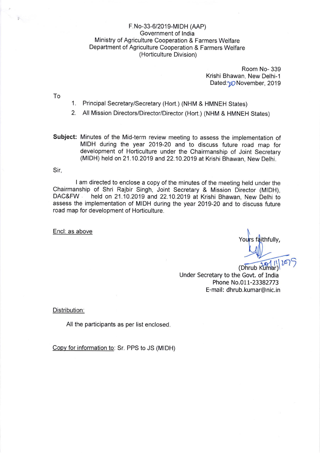# F.No-33-6/2019-MIDH (AAP) Government of lndia Ministry of Agriculture Cooperation & Farmers Welfare Department of Agriculture Cooperation & Farmers Welfare (Horticulture Division)

Room No- 339 Krishi Bhawan, New Delhi-1 Dated: $\gamma$ O November, 2019

- To '1. Principal Secretary/Secretary (Hort.) (NHM & HMNEH States)
	- 2. All Mission Directors/Director/Director (Hort.) (NHM & HMNEH States)

Subject: Minutes of the Mid-term review meeting to assess the implementation of MIDH during the year 2019-20 and to discuss future road map for development of Horticulture under the Chairmanship of Joint Secretary (MIDH) held on 21.10.2019 and 22.10.2019 at Krishi Bhawan, New Delhi.

Sir,

I am directed to enclose a copy of the minutes of the meeting held under the Chairmanship of Shri Rajbir Singh, Joint Secretary & Mission Director (MIDH), held on 21.10.2019 and 22.10.2019 at Krishi Bhawan, New Delhi to assess the implementation of MIDH during the year 2019-20 and to discuss future road map for development of Horticulture.

Encl: as above

Yours faithfully,  $\overline{w}$ 

(Dhrub Kumar) Under Secretary to the Govt. of India Phone No.011-23382773 E-mail: dhrub.kumar@nic.in

Distribution:

All the participants as per list enclosed

Copv for information to: Sr. PPS to JS (MIDH)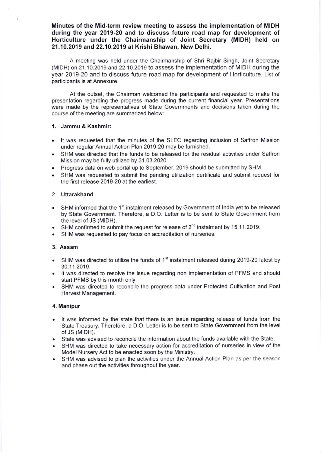Minutes of the Mid-term review meeting to assess the implementation of MIDH during the year 2019-20 and to discuss future road map for development of Horticulture under the Chairmanship of Joint Secretary (MIDH) held on 21.10.2019 and 22.10.2019 at Krishi Bhawan, New Delhi.

A meeting was held under the Chairmanship of Shri Rajbir Singh, Joint Secretary (MIDH) on 21.10.2019 and 22.10.2019 to assess the implementation of MIDH during the year 2019-20 and to discuss future road map for development of Horticulture. List of participants is at Annexure.

At the outset, the Chairman welcomed the participants and requested to make the presentation regarding the progress made during the current financial year. Presentations were made by the representatives of State Governments and decisions taken during the course of the meeting are summarized below:

## 1. Jammu & Kashmir:

 $\leq$ 

- . lt was requested that the minutes of the SLEC regarding inclusion of Saffron Mission under regular Annual Action Plan 2019-20 may be furnished.
- . SHM was directed that the funds to be released for the residual activities under Saffron Mission may be fully utilized by 31.03.2020.
- . Progress data on web portal up to September,2019 should be submitted by SHM.
- . SHM was requested to submit the pending utilization certificate and submit request for the first release 2019-20 at the earliest.

#### 2. Uttarakhand

- SHM informed that the 1<sup>st</sup> instalment released by Government of India yet to be released by State Government. Therefore, a D.O. Letter is to be sent to State Government from the level of JS (MIDH).
- SHM confirmed to submit the request for release of  $2^{nd}$  instalment by 15.11.2019.
- . SHM was requested to pay focus on accreditation of nurseries.

### 3. Assam

- SHM was directed to utilize the funds of  $1<sup>st</sup>$  instalment released during 2019-20 latest by 30.11.2019.
- It was directed to resolve the issue regarding non implementation of PFMS and should start PFMS by this month only.
- SHM was directed to reconcile the progress data under Protected Cultivation and Post Harvest Management.

#### 4. Manipur

- . lt was informed by the state that there is an issue regarding release of funds from the State Treasury. Therefore, a D.O. Letter is to be sent to State Government from the level of JS (MIDH).
- . Slate was advised to reconcile the information about the funds available with the State.
- SHM was directed to take necessary action for accreditation of nurseries in view of the Model Nursery Act to be enacted soon by the Ministry.
- SHM was advised to plan the activities under the Annual Action Plan as per the season and phase out the activities throughout the year.